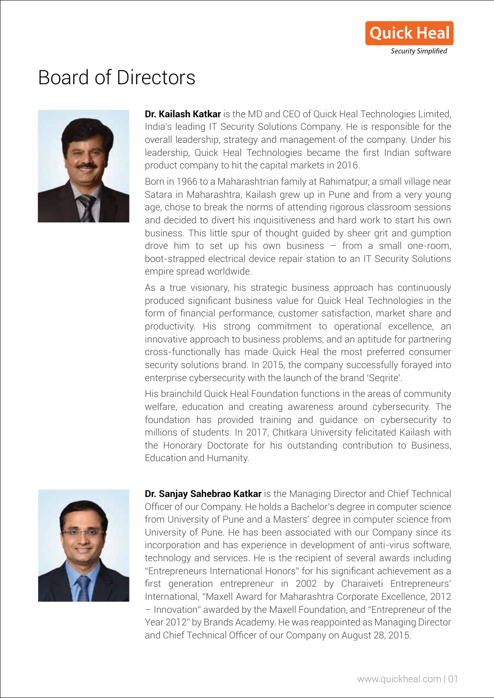## Board of Directors



**Dr. Kailash Katkar** is the MD and CEO of Quick Heal Technologies Limited, India's leading IT Security Solutions Company. He is responsible for the overall leadership, strategy and management of the company. Under his leadership, Quick Heal Technologies became the first Indian software product company to hit the capital markets in 2016.

Born in 1966 to a Maharashtrian family at Rahimatpur, a small village near Satara in Maharashtra, Kailash grew up in Pune and from a very young age, chose to break the norms of attending rigorous classroom sessions and decided to divert his inquisitiveness and hard work to start his own business. This little spur of thought guided by sheer grit and gumption drove him to set up his own business – from a small one-room, boot-strapped electrical device repair station to an IT Security Solutions empire spread worldwide.

As a true visionary, his strategic business approach has continuously produced significant business value for Quick Heal Technologies in the form of financial performance, customer satisfaction, market share and productivity. His strong commitment to operational excellence, an innovative approach to business problems, and an aptitude for partnering cross-functionally has made Quick Heal the most preferred consumer security solutions brand. In 2015, the company successfully forayed into enterprise cybersecurity with the launch of the brand 'Seqrite'.

His brainchild Quick Heal Foundation functions in the areas of community welfare, education and creating awareness around cybersecurity. The foundation has provided training and guidance on cybersecurity to millions of students. In 2017, Chitkara University felicitated Kailash with the Honorary Doctorate for his outstanding contribution to Business, Education and Humanity.



**Dr. Sanjay Sahebrao Katkar** is the Managing Director and Chief Technical Officer of our Company. He holds a Bachelor's degree in computer science from University of Pune and a Masters' degree in computer science from University of Pune. He has been associated with our Company since its incorporation and has experience in development of anti-virus software, technology and services. He is the recipient of several awards including "Entrepreneurs International Honors" for his significant achievement as a first generation entrepreneur in 2002 by Charaiveti Entrepreneurs' International, "Maxell Award for Maharashtra Corporate Excellence, 2012 – Innovation" awarded by the Maxell Foundation, and "Entrepreneur of the Year 2012" by Brands Academy. He was reappointed as Managing Director and Chief Technical Officer of our Company on August 28, 2015.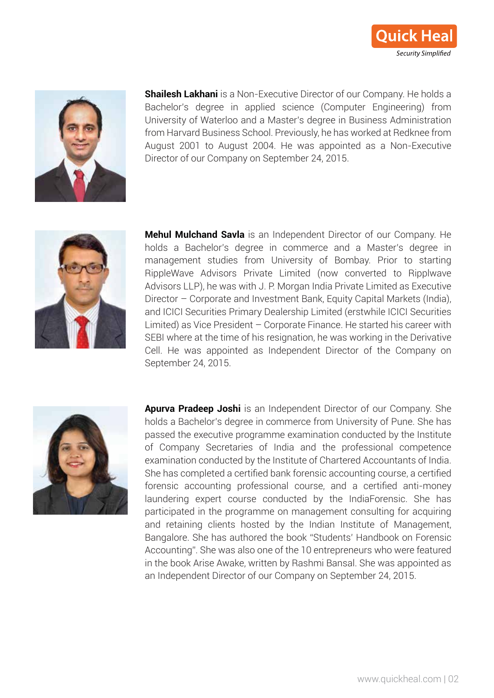



**Shailesh Lakhani** is a Non-Executive Director of our Company. He holds a Bachelor's degree in applied science (Computer Engineering) from University of Waterloo and a Master's degree in Business Administration from Harvard Business School. Previously, he has worked at Redknee from August 2001 to August 2004. He was appointed as a Non-Executive Director of our Company on September 24, 2015.



Mehul Mulchand Savla is an Independent Director of our Company. He holds a Bachelor's degree in commerce and a Master's degree in management studies from University of Bombay. Prior to starting RippleWave Advisors Private Limited (now converted to Ripplwave Advisors LLP), he was with J. P. Morgan India Private Limited as Executive Director - Corporate and Investment Bank, Equity Capital Markets (India), and ICICI Securities Primary Dealership Limited (erstwhile ICICI Securities Limited) as Vice President - Corporate Finance. He started his career with SEBI where at the time of his resignation, he was working in the Derivative Cell. He was appointed as Independent Director of the Company on September 24, 2015.



Apurva Pradeep Joshi is an Independent Director of our Company. She holds a Bachelor's degree in commerce from University of Pune. She has passed the executive programme examination conducted by the Institute of Company Secretaries of India and the professional competence examination conducted by the Institute of Chartered Accountants of India. She has completed a certified bank forensic accounting course, a certified forensic accounting professional course, and a certified anti-money laundering expert course conducted by the IndiaForensic. She has participated in the programme on management consulting for acquiring and retaining clients hosted by the Indian Institute of Management, Bangalore. She has authored the book "Students' Handbook on Forensic Accounting". She was also one of the 10 entrepreneurs who were featured in the book Arise Awake, written by Rashmi Bansal. She was appointed as an Independent Director of our Company on September 24, 2015.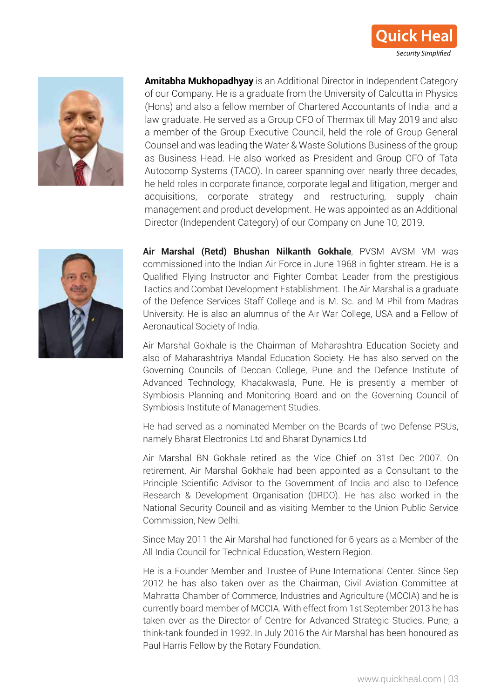



**Amitabha Mukhopadhyay** is an Additional Director in Independent Category of our Company. He is a graduate from the University of Calcutta in Physics (Hons) and also a fellow member of Chartered Accountants of India and a law graduate. He served as a Group CFO of Thermax till May 2019 and also a member of the Group Executive Council, held the role of Group General Counsel and was leading the Water & Waste Solutions Business of the group as Business Head. He also worked as President and Group CFO of Tata Autocomp Systems (TACO). In career spanning over nearly three decades, he held roles in corporate finance, corporate legal and litigation, merger and acquisitions, corporate strategy and restructuring, supply chain management and product development. He was appointed as an Additional Director (Independent Category) of our Company on June 10, 2019.



**Air Marshal (Retd) Bhushan Nilkanth Gokhale**, PVSM AVSM VM was commissioned into the Indian Air Force in June 1968 in fighter stream. He is a Qualified Flying Instructor and Fighter Combat Leader from the prestigious Tactics and Combat Development Establishment. The Air Marshal is a graduate of the Defence Services Staff College and is M. Sc. and M Phil from Madras University. He is also an alumnus of the Air War College, USA and a Fellow of Aeronautical Society of India.

Air Marshal Gokhale is the Chairman of Maharashtra Education Society and also of Maharashtriya Mandal Education Society. He has also served on the Governing Councils of Deccan College, Pune and the Defence Institute of Advanced Technology, Khadakwasla, Pune. He is presently a member of Symbiosis Planning and Monitoring Board and on the Governing Council of Symbiosis Institute of Management Studies.

He had served as a nominated Member on the Boards of two Defense PSUs, namely Bharat Electronics Ltd and Bharat Dynamics Ltd

Air Marshal BN Gokhale retired as the Vice Chief on 31st Dec 2007. On retirement, Air Marshal Gokhale had been appointed as a Consultant to the Principle Scientific Advisor to the Government of India and also to Defence Research & Development Organisation (DRDO). He has also worked in the National Security Council and as visiting Member to the Union Public Service Commission, New Delhi.

Since May 2011 the Air Marshal had functioned for 6 years as a Member of the All India Council for Technical Education, Western Region.

He is a Founder Member and Trustee of Pune International Center. Since Sep 2012 he has also taken over as the Chairman, Civil Aviation Committee at Mahratta Chamber of Commerce, Industries and Agriculture (MCCIA) and he is currently board member of MCCIA. With effect from 1st September 2013 he has taken over as the Director of Centre for Advanced Strategic Studies, Pune; a think-tank founded in 1992. In July 2016 the Air Marshal has been honoured as Paul Harris Fellow by the Rotary Foundation.